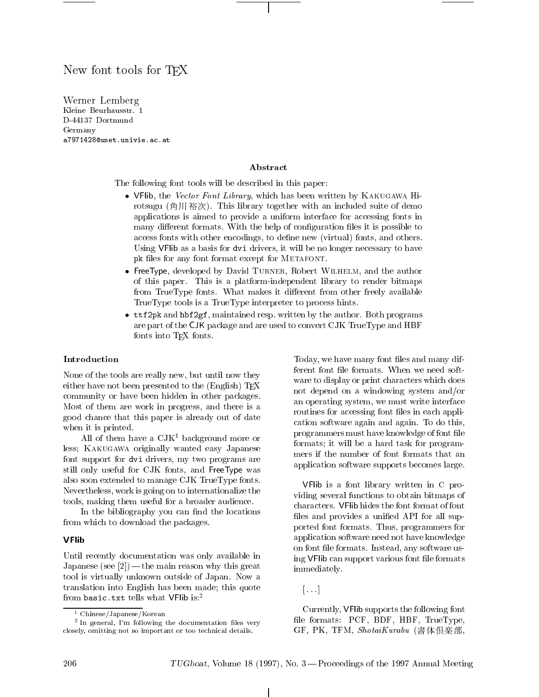# New font tools for T<sub>F</sub>X

 $\blacksquare$  Lemma Lemma Lemma  $\blacksquare$ Kleine Beurhausstr. 1 D-44137 Dortmund Germany a7971428@unet.univie.ac.at

# Abstract

The following font tools will be described in this paper:

- VFlib, the Vector Font Library, which has been written by KAKUGAWA Hirotsugu (角川裕次). This library together with an included suite of demo applications is aimed to provide a uniform interface for accessing fonts in many different formats. With the help of configuration files it is possible to access fonts with other encodings, to define new (virtual) fonts, and others. Using VFlib as a basis for dvi drivers, it will be no longer necessary to have pk files for any font format except for METAFONT.
- FreeType, developed by David Turner, Robert Wilhelm, and the author of this paper. This is a platform-independent library to render bitmaps from TrueType fonts. What makes it different from other freely available TrueType tools is a TrueType interpreter to process hints.
- ttf2pk and hbf2gf, maintained resp. written by the author. Both programs are part of the CJK package and are used to convert CJK TrueType and HBF fonts into T<sub>F</sub>X fonts.

#### Introduction

None of the tools are really new, but until now they either have not been presented to the (English) TEX community or have been hidden in other packages. Most of them are work in progress, and there is a good chance that this paper is already out of date when it is printed.

All of them have a  $CJK<sup>1</sup>$  background more or less; Kakugawa originally wanted easy Japanese font support for dvi drivers, my two programs are still only useful for CJK fonts, and FreeType was also soon extended to manage CJK TrueType fonts. Nevertheless, work is going on to internationalize the tools, making them useful for a broader audience.

In the bibliography you can find the locations from which to download the packages.

#### **VFlib**

Until recently documentation was only available in Japanese (see  $[2]$ ) — the main reason why this great tool is virtually unknown outside of Japan. Now a translation into English has been made; this quote from basic.txt tells what VFlib is:2

Today, we have many font files and many different font file formats. When we need software to display or print characters which does not depend on a windowing system and/or an operating system, we must write interface routines for accessing font files in each application software again and again. To do this, programmers must have knowledge of font le formats; it will be a hard task for programmers if the number of font formats that an application software supports becomes large.

VFlib is a font library written in C providing several functions to obtain bitmaps of characters. VFlib hides the font format of font files and provides a unified API for all supported font formats. Thus, programmers for application software need not have knowledge on font file formats. Instead, any software using VFIib can support various font file formats immediately.

Currently, VFlib supports the following font file formats: PCF, BDF, HBF, TrueType,  $GF, PK, TFM, *ShotaiKurabu* (書体倶楽部,$ 

<sup>1</sup> Chinese/Japanese/Korean

<sup>2</sup> In general, I'm following the documentation les very closely, omitting not so important or too technical details.

<sup>[...]</sup>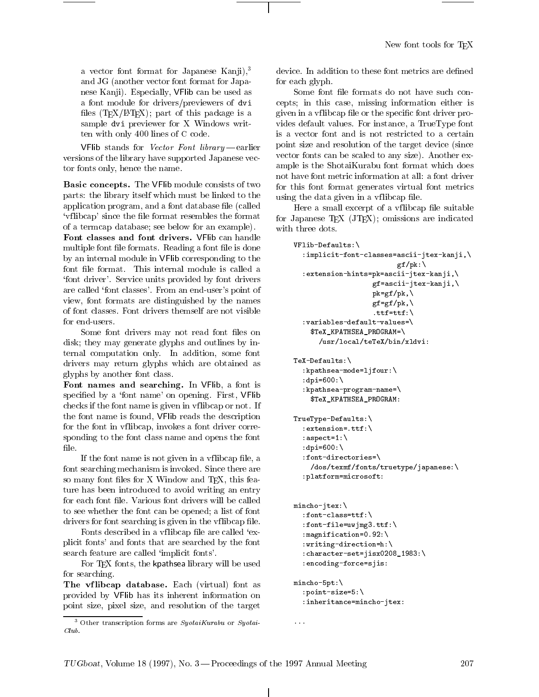a vector font format for Japanese Kanji), $3$ and JG (another vector font format for Japanese Kanji). Especially, VFlib can be used as a font module for drivers/previewers of dvi files (TFX/LATFX); part of this package is a sample dvi previewer for X Windows written with only 400 lines of C code.

VFlib stands for *Vector Font library*  $-e$ earlier versions of the library have supported Japanese vector fonts only, hence the name.

Basic concepts. The VFlib module consists of two parts: the library itself which must be linked to the application program, and a font database file (called 'vflibcap' since the file format resembles the format of a termcap database; see below for an example).

Font classes and font drivers. VFlib can handle multiple font file formats. Reading a font file is done by an internal module in VFlib corresponding to the font file format. This internal module is called a `font driver'. Service units provided by font drivers are called 'font classes'. From an end-user's point of view, font formats are distinguished by the names of font classes. Font drivers themself are not visible for end-users.

Some font drivers may not read font files on disk; they may generate glyphs and outlines by internal computation only. In addition, some font drivers may return glyphs which are obtained as glyphs by another font class.

Font names and searching. In VFlib, a font is specified by a 'font name' on opening. First, VFlib checks if the font name is given in vf libcap or not. If the font name is found, VFlib reads the description for the font in vflibcap, invokes a font driver corresponding to the font class name and opens the font

If the font name is not given in a vflibcap file, a font searching mechanism is invoked. Since there are so many font files for X Window and TEX, this feature has been introduced to avoid writing an entry for each font file. Various font drivers will be called to see whether the font can be opened; a list of font drivers for font searching is given in the vflibcap file.

Fonts described in a vflibcap file are called 'explicit fonts' and fonts that are searched by the font search feature are called 'implicit fonts'.

For TEX fonts, the kpathsea library will be used for searching.

The vflibcap database. Each (virtual) font as provided by VFlib has its inherent information on point size, pixel size, and resolution of the target device. In addition to these font metrics are defined for each glyph.

Some font file formats do not have such concepts; in this case, missing information either is given in a vflibcap file or the specific font driver provides default values. For instance, a TrueType font is a vector font and is not restricted to a certain point size and resolution of the target device (since vector fonts can be scaled to any size). Another example is the ShotaiKurabu font format which does not have font metric information at all: a font driver for this font format generates virtual font metrics using the data given in a vflibcap file.

Here a small excerpt of a vflibcap file suitable for Japanese T<sub>E</sub>X  $(JT<sub>E</sub>X)$ ; omissions are indicated with three dots.

```
VFlib-Defaults:\
  :implicit-font-classes=ascii-jtex-kanji,\
                             gf/pk:\:extension-hints=pk=ascii-jtex-kanji,\
                      gf=ascii-jtex-kanji,\
                      pk=gf/pk, \n\langlegf=gf/pk, \n\.ttf=ttf:\setminus:variables-default-values=\
    $TeX_KPATHSEA_PROGRAM=\
       /usr/local/teTeX/bin/xldvi:
TeX-Defaults:\Texas - Texas - Texas - Texas - Texas - Texas - Texas - Texas - Texas - Texas - Texas - Texas - Texas - Texas -
  :kpathsea-mode=ljfour:\
  :dpi=600:\
  :kpathsea-program-name=\
     $TeX_KPATHSEA_PROGRAM:
TrueType-Defaults:\
  :extension=.ttf:\
  :aspect=1:\
  :dpi=600:\
  :font-directories=\
     /dos/texmf/fonts/truetype/japanese:\
  :platform=microsoft:
mincho-jtex:\
  :font-class=ttf:\
  :font-file=uwjmg3.ttf:\
  :magnification=0.92:\
  :writing-direction=h:\
  :character-set=jisx0208_1983:\
  :encoding-force=sjis:
mincho-5pt:\
  :point-size=5:\
  :inheritance=mincho-jtex:
```
...

<sup>-</sup> Other transcription forms are *SyotaiKurabu* or *Syotai*- $Club$ .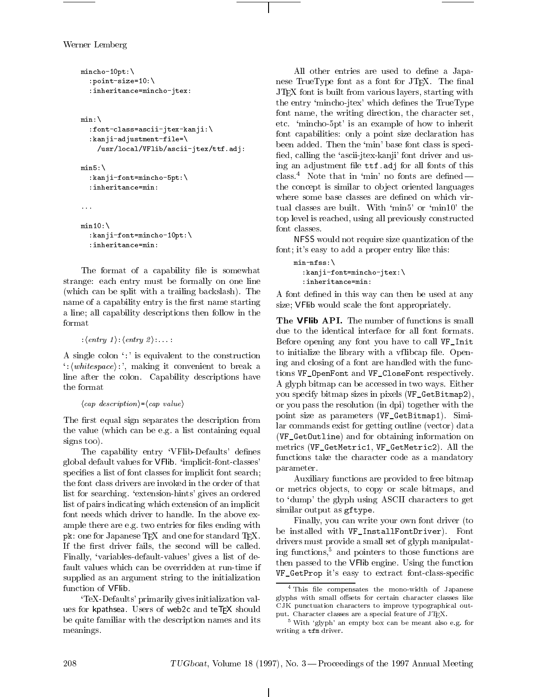Werner Lemberg

```
mincho-10pt:\
  :point-size=10:\
  :inheritance=mincho-jtex:
min:\
   :font-class=ascii-jtex-kanji:\
  :kanji-adjustment-file=\
     /usr/local/VFlib/ascii-jtex/ttf.adj:
min5:minister and the contract of the contract of the contract of the contract of the contract of the contract of the
  :kanji-font=mincho-5pt:\
  :inheritance=min:
min10:\
```

```
:kanji-font=mincho-10pt:\
:inheritance=min:
```
The format of a capability file is somewhat strange: each entry must be formally on one line (which can be split with a trailing backslash). The name of a capability entry is the first name starting a line; all capability descriptions then follow in the

```
: \langle entry\ 1 \rangle : \langle entry\ 2 \rangle :... :
```
A single colon `:' is equivalent to the construction  $\langle$ :  $\langle \text{whitespace} \rangle$ :  $\langle \text{making it convenient to break a} \rangle$ line after the colon. Capability descriptions have the format

```
\langle cap \ description \rangle = \langle cap \ value \rangle
```
The first equal sign separates the description from the value (which can be e.g. a list containing equal signs too).

The capability entry 'VFlib-Defaults' defines global default values for VFlib. `implicit-font-classes' specifies a list of font classes for implicit font search; the font class drivers are invoked in the order of that list for searching. 'extension-hints' gives an ordered list of pairs indicating which extension of an implicit font needs which driver to handle. In the above example there are e.g. two entries for files ending with pk: one for Japanese TEX and one for standard TEX. If the first driver fails, the second will be called. Finally, `variables-default-values' gives a list of default values which can be overridden at run-time if supplied as an argument string to the initialization function of VFlib.

`TeX-Defaults' primarily gives initialization values for kpathsea. Users of web2c and teTEX should be quite familiar with the description names and its meanings.

All other entries are used to define a Japanese TrueType font as a font for JTEX. The final JTEX font is built from various layers, starting with the entry 'mincho-jtex' which defines the TrueType font name, the writing direction, the character set, etc. `mincho-5pt' is an example of how to inherit font capabilities: only a point size declaration has been added. Then the 'min' base font class is specified, calling the 'ascii-jtex-kanji' font driver and using an adjustment file ttf.adj for all fonts of this class.<sup>4</sup> Note that in 'min' no fonts are defined  $$ the concept is similar to object oriented languages where some base classes are defined on which virtual classes are built. With `min5' or `min10' the top level is reached, using all previously constructed font classes.

NFSS would not require size quantization of the font; it's easy to add a proper entry like this:

```
min-nfss:\
  :kanji-font=mincho-jtex:\
  :inheritance=min:
```
A font defined in this way can then be used at any size; VFlib would scale the font appropriately.

The VFlib API. The number of functions is small due to the identical interface for all font formats. Before opening any font you have to call VF\_Init to initialize the library with a vflibcap file. Opening and closing of a font are handled with the functions VF\_OpenFont and VF\_CloseFont respectively. A glyph bitmap can be accessed in two ways. Either you specify bitmap sizes in pixels (VF\_GetBitmap2), or you pass the resolution (in dpi) together with the point size as parameters (VF\_GetBitmap1). Similar commands exist for getting outline (vector) data (VF\_GetOutline) and for obtaining information on metrics (VF\_GetMetric1, VF\_GetMetric2). All the functions take the character code as a mandatory parameter.

Auxiliary functions are provided to free bitmap or metrics ob jects, to copy or scale bitmaps, and to `dump' the glyph using ASCII characters to get similar output as gftype.

Finally, you can write your own font driver (to be installed with VF\_InstallFontDriver). Font drivers must provide a small set of glyph manipulating functions,5 and pointers to those functions are then passed to the VFlib engine. Using the function VF\_GetProp it's easy to extract font-class-specic

this he compensates the mono-width of Japanese glyphs with small offsets for certain character classes like CJK punctuation characters to improve typographical output. Character classes are a special feature of JTEX.

<sup>&</sup>lt;sup>5</sup> With 'glyph' an empty box can be meant also e.g. for writing a tfm driver.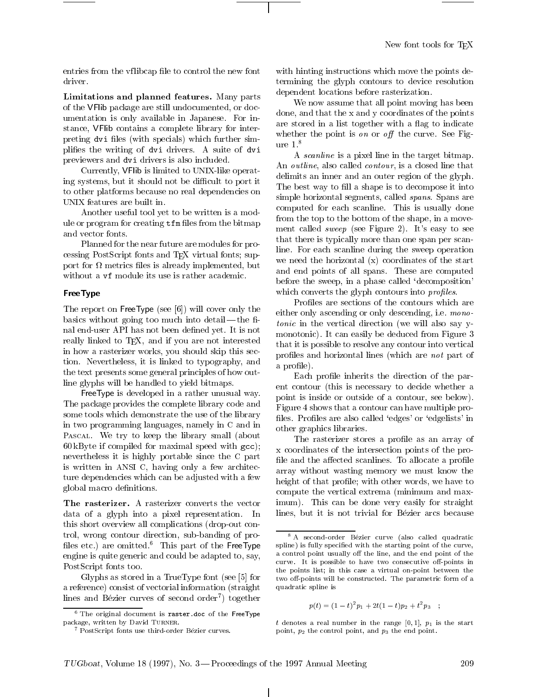New font tools for T<sub>FX</sub>

entries from the vflibcap file to control the new font

Limitations and planned features. Many parts of the VFlib package are still undocumented, or documentation is only available in Japanese. For instance, VFlib contains a complete library for interpreting dvi files (with specials) which further simplifies the writing of dvi drivers. A suite of dvi previewers and dvi drivers is also included.

Currently, VFlib is limited to UNIX-like operating systems, but it should not be difficult to port it to other platforms because no real dependencies on UNIX features are built in.

Another useful tool yet to be written is a module or program for creating  $iff$  files from the bitmap and vector fonts.

Planned for the near future are modules for processing PostScript fonts and TEX virtual fonts; support for the metric state of the state, but proposed in the case of the contract of the contract of the contract of without a  $\nu f$  module its use is rather academic.

### FreeType

The report on FreeType (see [6]) will cover only the basics without going too much into detail—the final end-user API has not been defined yet. It is not really linked to T<sub>F</sub>X, and if you are not interested in how a rasterizer works, you should skip this section. Nevertheless, it is linked to typography, and the text presents some general principles of how outline glyphs will be handled to yield bitmaps.

FreeType is developed in a rather unusual way. The package provides the complete library code and some tools which demonstrate the use of the library in two programming languages, namely in C and in Pascal. We try to keep the library small (about 60 kByte if compiled for maximal speed with gcc); nevertheless it is highly portable since the C part is written in ANSI C, having only a few architecture dependencies which can be adjusted with a few global macro denitions.

The rasterizer. A rasterizer converts the vector data of a glyph into a pixel representation. In this short overview all complications (drop-out control, wrong contour direction, sub-banding of pro files etc.) are omitted.<sup>6</sup> This part of the FreeType engine is quite generic and could be adapted to, say, PostScript fonts too.

Glyphs as stored in a TrueType font (see [5] for a reference) consist of vectorial information (straight lines and Bezier curves of second order7 ) together

with hinting instructions which move the points determining the glyph contours to device resolution dependent locations before rasterization.

We now assume that all point moving has been done, and that the x and y coordinates of the points are stored in a list together with a flag to indicate whether the point is on or off the curve. See Figure 1.8

A scanline is a pixel line in the target bitmap. An *outline*, also called *contour*, is a closed line that delimits an inner and an outer region of the glyph. The best way to fill a shape is to decompose it into simple horizontal segments, called *spans*. Spans are computed for each scanline. This is usually done from the top to the bottom of the shape, in a movement called *sweep* (see Figure 2). It's easy to see that there is typically more than one span per scanline. For each scanline during the sweep operation we need the horizontal (x) coordinates of the start and end points of all spans. These are computed before the sweep, in a phase called `decomposition' which converts the glyph contours into *profiles*.

Profiles are sections of the contours which are either only ascending or only descending, i.e. monotonic in the vertical direction (we will also say ymonotonic). It can easily be deduced from Figure 3 that it is possible to resolve any contour into vertical profiles and horizontal lines (which are *not* part of a profile).

Each profile inherits the direction of the parent contour (this is necessary to decide whether a point is inside or outside of a contour, see below). Figure 4 shows that a contour can have multiple pro files. Profiles are also called 'edges' or 'edgelists' in other graphics libraries.

The rasterizer stores a profile as an array of x coordinates of the intersection points of the pro file and the affected scanlines. To allocate a profile array without wasting memory we must know the height of that profile; with other words, we have to compute the vertical extrema (minimum and maximum). This can be done very easily for straight lines, but it is not trivial for Bézier arcs because

$$
p(t) = (1-t)^2 p_1 + 2t(1-t)p_2 + t^2 p_3 \quad ;
$$

t denotes a real number in the range [0, 1],  $p_1$  is the start point,  $p_2$  the control point, and  $p_3$  the end point.

 $\sim$  The original document is raster.doc of the FreeType package, written by David TURNER.

<sup>7</sup> PostScript fonts use third-order Bezier curves.

<sup>8</sup> A second-order Bezier curve (also called quadratic spline) is fully specied with the starting point of the curve, a control point usually off the line, and the end point of the curve. It is possible to have two consecutive off-points in the points list; in this case a virtual on-point between the two off-points will be constructed. The parametric form of a quadratic spline is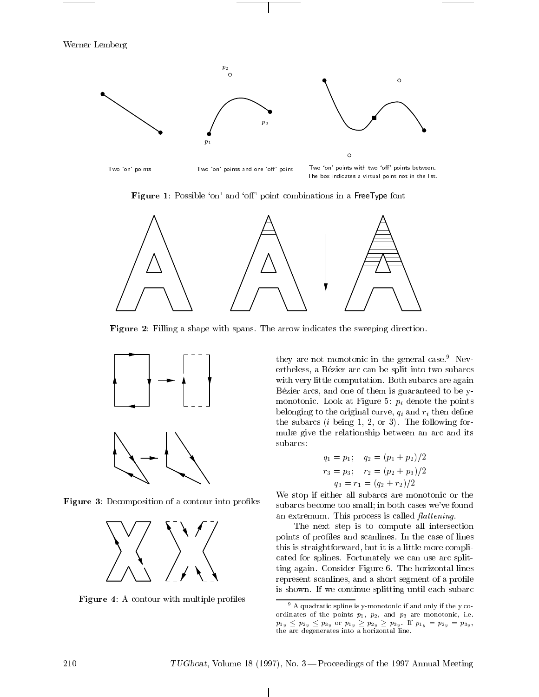

Figure 1: Possible 'on' and 'off' point combinations in a FreeType font



Figure 2: Filling a shape with spans. The arrow indicates the sweeping direction.



**Figure 3:** Decomposition of a contour into profiles



Figure 4: A contour with multiple profiles

they are not monotonic in the general case.<sup>9</sup> Nevertheless, a Bezier arc can be split into two subarcs with very little computation. Both subarcs are again Bézier arcs, and one of them is guaranteed to be ymonotonic. Look at Figure 5:  $p_i$  denote the points belonging to the original curve,  $q_i$  and  $r_i$  then define the subarcs  $(i \text{ being } 1, 2, \text{ or } 3)$ . The following formulæ give the relationship between an arc and its subarcs:

$$
q_1 = p_1;
$$
  $q_2 = (p_1 + p_2)/2$   
\n $r_3 = p_3;$   $r_2 = (p_2 + p_3)/2$   
\n $q_3 = r_1 = (q_2 + r_2)/2$ 

We stop if either all subarcs are monotonic or the subarcs become too small; in both cases we've found an extremum. This process is called *flattening*.

The next step is to compute all intersection points of profiles and scanlines. In the case of lines this is straightforward, but it is a little more complicated for splines. Fortunately we can use arc splitting again. Consider Figure 6. The horizontal lines represent scanlines, and a short segment of a profile is shown. If we continue splitting until each subarc

 $\mathbf{I}$ 

<sup>9</sup> A quadratic spline is y-monotonic if and only if the y coordinates of the points  $p_1$ ,  $p_2$ , and  $p_3$  are monotonic, i.e.  $p_1\cdot p_2\cdot p_3\cdot p_4\cdot p_5\cdot p_6\cdot p_7\cdot p_7\cdot p_8\cdot p_9\cdot p_1\cdot p_2\cdot p_4\cdot p_5\cdot p_7\cdot p_8\cdot p_9\cdot p_1\cdot p_2\cdot p_6\cdot p_7\cdot p_8\cdot p_9\cdot p_9\cdot p_1\cdot p_2\cdot p_1\cdot p_2\cdot p_1\cdot p_2\cdot p_1\cdot p_2\cdot p_3\cdot p_5\cdot p_6\cdot p_7\cdot p_8\cdot p_9\cdot p_1\cdot p_2\cdot p_1\cdot p_2\cdot p_1\cdot p_2\cdot$ the arc degenerates into a horizontal line.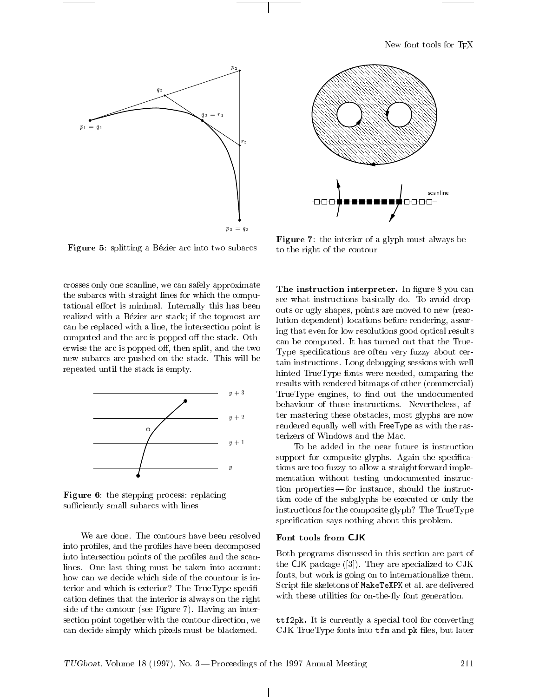New font tools for TEX



**Figure 5:** splitting a Bézier arc into two subarcs

crosses only one scanline, we can safely approximate the subarcs with straight lines for which the computational effort is minimal. Internally this has been realized with a Bézier arc stack; if the topmost arc can be replaced with a line, the intersection point is computed and the arc is popped off the stack. Otherwise the arc is popped off, then split, and the two new subarcs are pushed on the stack. This will be repeated until the stack is empty.



Figure 6: the stepping process: replacing sufficiently small subarcs with lines

We are done. The contours have been resolved Font tools from CJK into profiles, and the profiles have been decomposed into intersection points of the profiles and the scanlines. One last thing must be taken into account: how can we decide which side of the countour is interior and which is exterior? The TrueType specification defines that the interior is always on the right side of the contour (see Figure 7). Having an intersection point together with the contour direction, we can decide simply which pixels must be blackened.



Figure 7: the interior of a glyph must always be to the right of the contour

The instruction interpreter. In figure 8 you can see what instructions basically do. To avoid dropouts or ugly shapes, points are moved to new (resolution dependent) locations before rendering, assuring that even for low resolutions good optical results can be computed. It has turned out that the True-Type specifications are often very fuzzy about certain instructions. Long debugging sessions with well hinted TrueType fonts were needed, comparing the results with rendered bitmaps of other (commercial) TrueType engines, to find out the undocumented behaviour of those instructions. Nevertheless, after mastering these obstacles, most glyphs are now rendered equally well with FreeType as with the rasterizers of Windows and the Mac.

To be added in the near future is instruction support for composite glyphs. Again the specifications are too fuzzy to allow a straightforward implementation without testing undocumented instruction properties—for instance, should the instruction code of the subglyphs be executed or only the instructions for the composite glyph? The TrueType specification says nothing about this problem.

Both programs discussed in this section are part of the CJK package ([3]). They are specialized to CJK fonts, but work is going on to internationalize them. Script file skeletons of MakeTeXPK et al. are delivered with these utilities for on-the-fly font generation.

ttf2pk. It is currently a special tool for converting  $CJK$  TrueType fonts into  $tfm$  and  $pk$  files, but later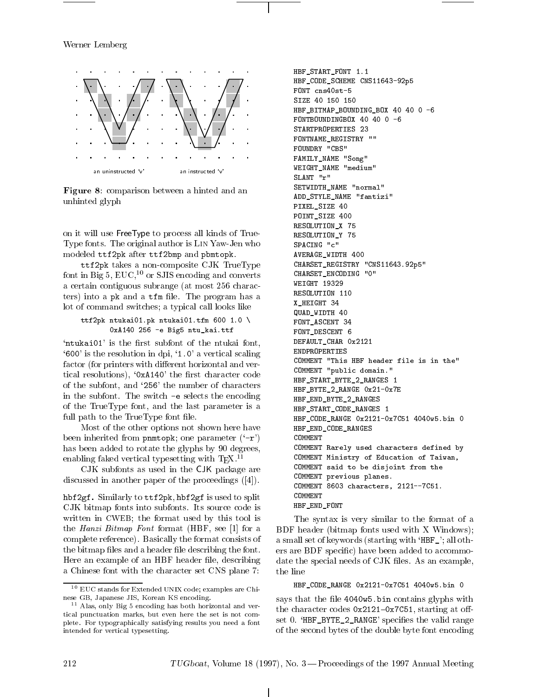Werner Lemberg



Figure 8: comparison between a hinted and an unhinted glyph

on it will use FreeType to process all kinds of True-Type fonts. The original author is Lin Yaw-Jen who modeled ttf2pk after ttf2bmp and pbmtopk.

ttf2pk takes a non-composite CJK TrueType font in Big 5,  $EUC<sup>10</sup>$  or SJIS encoding and converts a certain contiguous subrange (at most 256 characters) into a  $pk$  and a  $tfm$  file. The program has a lot of command switches; a typical call looks like

```
ttf2pk ntukai01.pk ntukai01.tfm 600 1.0 \
       0xA140 256 -e Big5 ntu_kai.ttf
```
'ntukai01' is the first subfont of the ntukai font,  $^{\circ}600'$  is the resolution in dpi,  $^{\circ}1.0'$  a vertical scaling factor (for printers with different horizontal and vertical resolutions), ' $0xA140'$  the first character code of the subfont, and `256' the number of characters in the subfont. The switch -e selects the encoding of the TrueType font, and the last parameter is a full path to the TrueType font file.

Most of the other options not shown here have been inherited from pnmtopk; one parameter  $({} -r)$ has been added to rotate the glyphs by 90 degrees, enabling faked vertical typesetting with  $T_{E}X$ .<sup>11</sup>

CJK subfonts as used in the CJK package are discussed in another paper of the proceedings ([4]).

hbf2gf. Similarly to ttf2pk, hbf2gf is used to split CJK bitmap fonts into subfonts. Its source code is written in CWEB; the format used by this tool is the Hanzi Bitmap Font format (HBF, see [1] for a complete reference). Basically the format consists of the bitmap files and a header file describing the font. Here an example of an HBF header file, describing a Chinese font with the character set CNS plane 7:

HBF\_START\_FONT 1.1 HBF\_CODE\_SCHEME CNS11643-92p5 FONT cns40st-5 HBF\_BITMAP\_BOUNDING\_BOX 40 40 0 -6 FONTBOUNDINGBOX 40 40 0 -6 STARTPROPERTIES 23 FONTNAME\_REGISTRY "" FOUNDRY "CBS" FAMILY\_NAME "Song" WEIGHT\_NAME "medium" SLANT "r" SETWIDTH\_NAME "normal" ADD\_STYLE\_NAME "fantizi" PIXEL\_SIZE 40 POINT\_SIZE 400 RESOLUTION\_X 75 RESOLUTION\_Y 75 SPACING "c" AVERAGE\_WIDTH 400 CHARSET\_REGISTRY "CNS11643.92p5" CHARSET\_ENCODING "0" WEIGHT 19329 RESOLUTION 110 X\_HEIGHT 34 QUAD\_WIDTH 40 FONT\_ASCENT 34 FONT\_DESCENT 6 DEFAULT\_CHAR 0x2121 ENDPROPERTIES COMMENT "This HBF header file is in the" COMMENT "public domain." HBF\_START\_BYTE\_2\_RANGES 1 HBF\_BYTE\_2\_RANGE 0x21-0x7E HBF\_END\_BYTE\_2\_RANGES HBF\_START\_CODE\_RANGES 1 HBF\_CODE\_RANGE 0x2121-0x7C51 4040w5.bin 0 HBF\_END\_CODE\_RANGES COMMENT COMMENT Rarely used characters defined by COMMENT Ministry of Education of Taiwan, COMMENT said to be disjoint from the COMMENT previous planes. COMMENT 8603 characters, 2121--7C51. COMMENT HBF\_END\_FONT

The syntax is very similar to the format of a BDF header (bitmap fonts used with X Windows); a small set of keywords (starting with 'HBF\_'; all others are BDF specic) have been added to accommodate the special needs of CJK files. As an example, the line

HBF\_CODE\_RANGE 0x2121-0x7C51 4040w5.bin 0

says that the file 4040w5.bin contains glyphs with the character codes  $0x2121-0x7C51$ , starting at offset 0. 'HBF\_BYTE\_2\_RANGE' specifies the valid range of the second bytes of the double byte font encoding

 $\lnot$  - EUC stands for Extended UNIX code; examples are Chinese GB, Japanese JIS, Korean KS encoding.

 $\sim$  Alas, only Eig 5 encoding has both horizontal and vertical punctuation marks, but even here the set is not complete. For typographically satisfying results you need a font intended for vertical typesetting.